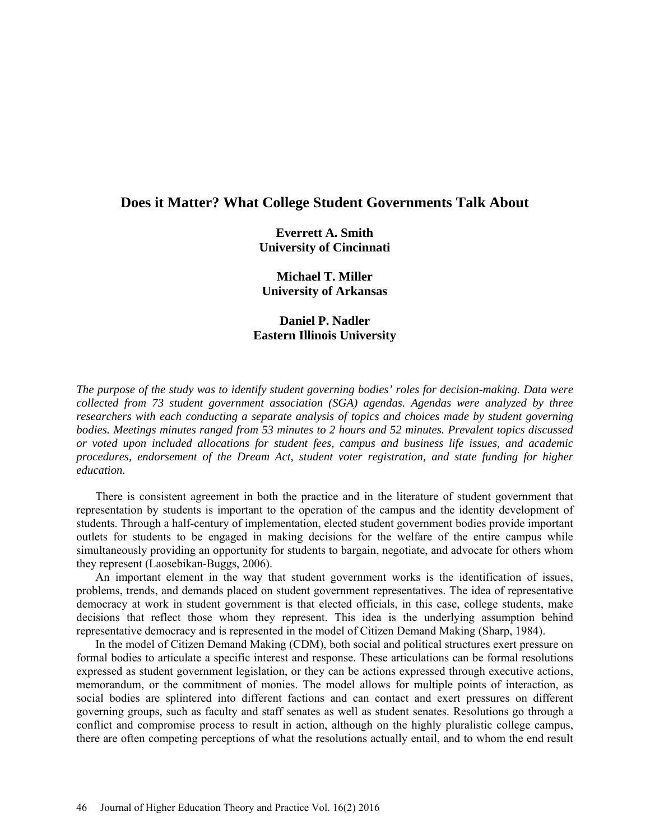# **Does it Matter? What College Student Governments Talk About**

**Everrett A. Smith University of Cincinnati**

**Michael T. Miller University of Arkansas**

**Daniel P. Nadler Eastern Illinois University**

*The purpose of the study was to identify student governing bodies' roles for decision-making. Data were collected from 73 student government association (SGA) agendas. Agendas were analyzed by three researchers with each conducting a separate analysis of topics and choices made by student governing bodies. Meetings minutes ranged from 53 minutes to 2 hours and 52 minutes. Prevalent topics discussed or voted upon included allocations for student fees, campus and business life issues, and academic procedures, endorsement of the Dream Act, student voter registration, and state funding for higher education.*

There is consistent agreement in both the practice and in the literature of student government that representation by students is important to the operation of the campus and the identity development of students. Through a half-century of implementation, elected student government bodies provide important outlets for students to be engaged in making decisions for the welfare of the entire campus while simultaneously providing an opportunity for students to bargain, negotiate, and advocate for others whom they represent (Laosebikan-Buggs, 2006).

An important element in the way that student government works is the identification of issues, problems, trends, and demands placed on student government representatives. The idea of representative democracy at work in student government is that elected officials, in this case, college students, make decisions that reflect those whom they represent. This idea is the underlying assumption behind representative democracy and is represented in the model of Citizen Demand Making (Sharp, 1984).

In the model of Citizen Demand Making (CDM), both social and political structures exert pressure on formal bodies to articulate a specific interest and response. These articulations can be formal resolutions expressed as student government legislation, or they can be actions expressed through executive actions, memorandum, or the commitment of monies. The model allows for multiple points of interaction, as social bodies are splintered into different factions and can contact and exert pressures on different governing groups, such as faculty and staff senates as well as student senates. Resolutions go through a conflict and compromise process to result in action, although on the highly pluralistic college campus, there are often competing perceptions of what the resolutions actually entail, and to whom the end result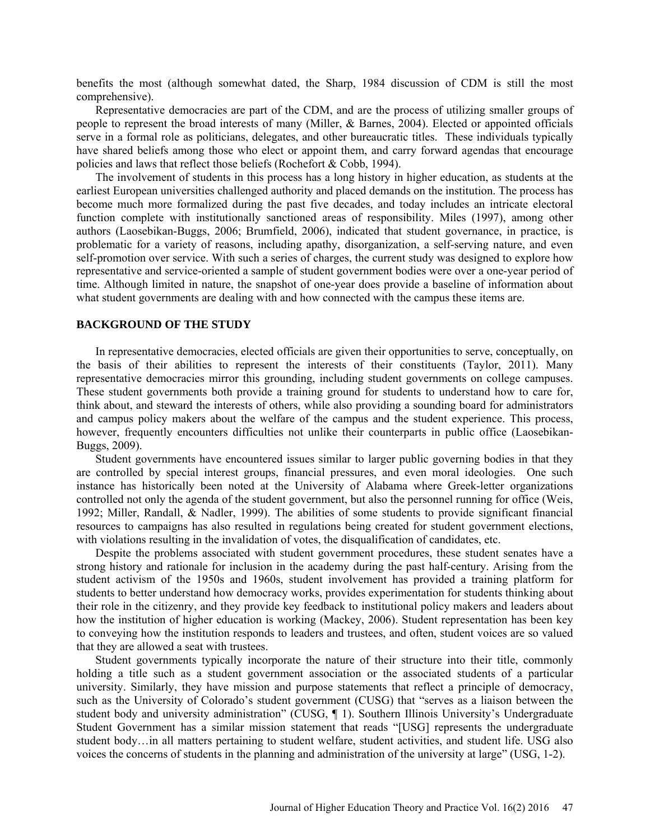benefits the most (although somewhat dated, the Sharp, 1984 discussion of CDM is still the most comprehensive).

Representative democracies are part of the CDM, and are the process of utilizing smaller groups of people to represent the broad interests of many (Miller, & Barnes, 2004). Elected or appointed officials serve in a formal role as politicians, delegates, and other bureaucratic titles. These individuals typically have shared beliefs among those who elect or appoint them, and carry forward agendas that encourage policies and laws that reflect those beliefs (Rochefort & Cobb, 1994).

The involvement of students in this process has a long history in higher education, as students at the earliest European universities challenged authority and placed demands on the institution. The process has become much more formalized during the past five decades, and today includes an intricate electoral function complete with institutionally sanctioned areas of responsibility. Miles (1997), among other authors (Laosebikan-Buggs, 2006; Brumfield, 2006), indicated that student governance, in practice, is problematic for a variety of reasons, including apathy, disorganization, a self-serving nature, and even self-promotion over service. With such a series of charges, the current study was designed to explore how representative and service-oriented a sample of student government bodies were over a one-year period of time. Although limited in nature, the snapshot of one-year does provide a baseline of information about what student governments are dealing with and how connected with the campus these items are.

#### **BACKGROUND OF THE STUDY**

In representative democracies, elected officials are given their opportunities to serve, conceptually, on the basis of their abilities to represent the interests of their constituents (Taylor, 2011). Many representative democracies mirror this grounding, including student governments on college campuses. These student governments both provide a training ground for students to understand how to care for, think about, and steward the interests of others, while also providing a sounding board for administrators and campus policy makers about the welfare of the campus and the student experience. This process, however, frequently encounters difficulties not unlike their counterparts in public office (Laosebikan-Buggs, 2009).

Student governments have encountered issues similar to larger public governing bodies in that they are controlled by special interest groups, financial pressures, and even moral ideologies. One such instance has historically been noted at the University of Alabama where Greek-letter organizations controlled not only the agenda of the student government, but also the personnel running for office (Weis, 1992; Miller, Randall, & Nadler, 1999). The abilities of some students to provide significant financial resources to campaigns has also resulted in regulations being created for student government elections, with violations resulting in the invalidation of votes, the disqualification of candidates, etc.

Despite the problems associated with student government procedures, these student senates have a strong history and rationale for inclusion in the academy during the past half-century. Arising from the student activism of the 1950s and 1960s, student involvement has provided a training platform for students to better understand how democracy works, provides experimentation for students thinking about their role in the citizenry, and they provide key feedback to institutional policy makers and leaders about how the institution of higher education is working (Mackey, 2006). Student representation has been key to conveying how the institution responds to leaders and trustees, and often, student voices are so valued that they are allowed a seat with trustees.

Student governments typically incorporate the nature of their structure into their title, commonly holding a title such as a student government association or the associated students of a particular university. Similarly, they have mission and purpose statements that reflect a principle of democracy, such as the University of Colorado's student government (CUSG) that "serves as a liaison between the student body and university administration" (CUSG, ¶ 1). Southern Illinois University's Undergraduate Student Government has a similar mission statement that reads "[USG] represents the undergraduate student body…in all matters pertaining to student welfare, student activities, and student life. USG also voices the concerns of students in the planning and administration of the university at large" (USG, 1-2).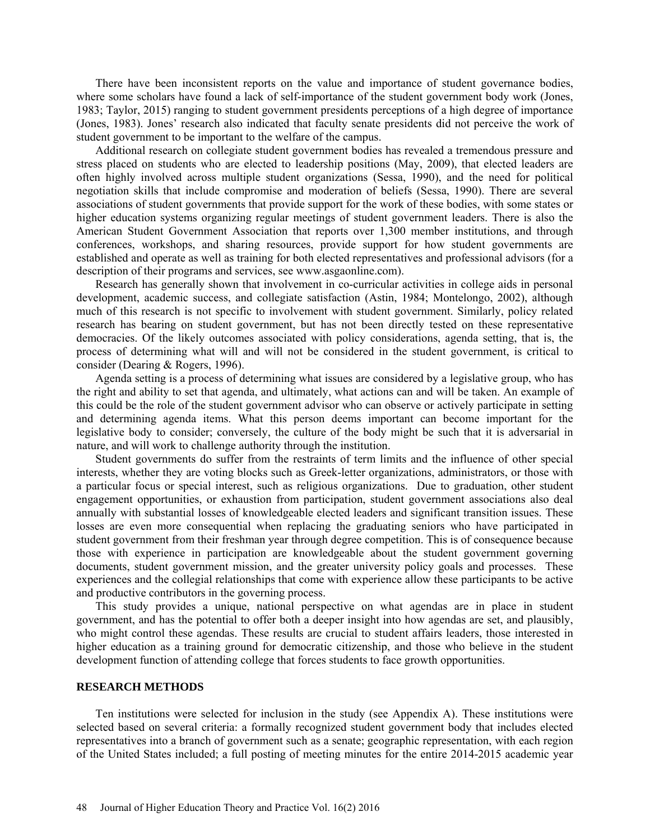There have been inconsistent reports on the value and importance of student governance bodies, where some scholars have found a lack of self-importance of the student government body work (Jones, 1983; Taylor, 2015) ranging to student government presidents perceptions of a high degree of importance (Jones, 1983). Jones' research also indicated that faculty senate presidents did not perceive the work of student government to be important to the welfare of the campus.

Additional research on collegiate student government bodies has revealed a tremendous pressure and stress placed on students who are elected to leadership positions (May, 2009), that elected leaders are often highly involved across multiple student organizations (Sessa, 1990), and the need for political negotiation skills that include compromise and moderation of beliefs (Sessa, 1990). There are several associations of student governments that provide support for the work of these bodies, with some states or higher education systems organizing regular meetings of student government leaders. There is also the American Student Government Association that reports over 1,300 member institutions, and through conferences, workshops, and sharing resources, provide support for how student governments are established and operate as well as training for both elected representatives and professional advisors (for a description of their programs and services, see www.asgaonline.com).

Research has generally shown that involvement in co-curricular activities in college aids in personal development, academic success, and collegiate satisfaction (Astin, 1984; Montelongo, 2002), although much of this research is not specific to involvement with student government. Similarly, policy related research has bearing on student government, but has not been directly tested on these representative democracies. Of the likely outcomes associated with policy considerations, agenda setting, that is, the process of determining what will and will not be considered in the student government, is critical to consider (Dearing & Rogers, 1996).

Agenda setting is a process of determining what issues are considered by a legislative group, who has the right and ability to set that agenda, and ultimately, what actions can and will be taken. An example of this could be the role of the student government advisor who can observe or actively participate in setting and determining agenda items. What this person deems important can become important for the legislative body to consider; conversely, the culture of the body might be such that it is adversarial in nature, and will work to challenge authority through the institution.

Student governments do suffer from the restraints of term limits and the influence of other special interests, whether they are voting blocks such as Greek-letter organizations, administrators, or those with a particular focus or special interest, such as religious organizations. Due to graduation, other student engagement opportunities, or exhaustion from participation, student government associations also deal annually with substantial losses of knowledgeable elected leaders and significant transition issues. These losses are even more consequential when replacing the graduating seniors who have participated in student government from their freshman year through degree competition. This is of consequence because those with experience in participation are knowledgeable about the student government governing documents, student government mission, and the greater university policy goals and processes. These experiences and the collegial relationships that come with experience allow these participants to be active and productive contributors in the governing process.

This study provides a unique, national perspective on what agendas are in place in student government, and has the potential to offer both a deeper insight into how agendas are set, and plausibly, who might control these agendas. These results are crucial to student affairs leaders, those interested in higher education as a training ground for democratic citizenship, and those who believe in the student development function of attending college that forces students to face growth opportunities.

# **RESEARCH METHODS**

Ten institutions were selected for inclusion in the study (see Appendix A). These institutions were selected based on several criteria: a formally recognized student government body that includes elected representatives into a branch of government such as a senate; geographic representation, with each region of the United States included; a full posting of meeting minutes for the entire 2014-2015 academic year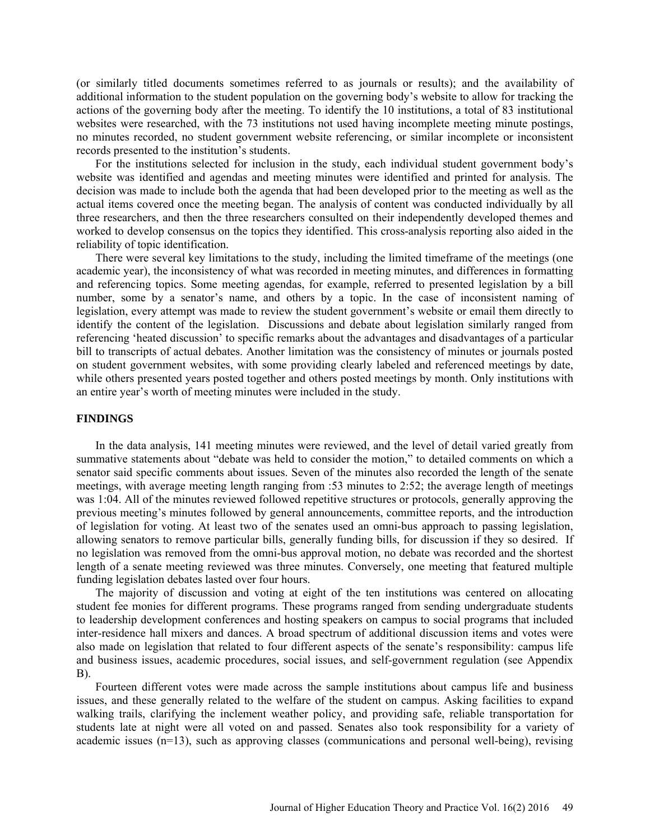(or similarly titled documents sometimes referred to as journals or results); and the availability of additional information to the student population on the governing body's website to allow for tracking the actions of the governing body after the meeting. To identify the 10 institutions, a total of 83 institutional websites were researched, with the 73 institutions not used having incomplete meeting minute postings, no minutes recorded, no student government website referencing, or similar incomplete or inconsistent records presented to the institution's students.

For the institutions selected for inclusion in the study, each individual student government body's website was identified and agendas and meeting minutes were identified and printed for analysis. The decision was made to include both the agenda that had been developed prior to the meeting as well as the actual items covered once the meeting began. The analysis of content was conducted individually by all three researchers, and then the three researchers consulted on their independently developed themes and worked to develop consensus on the topics they identified. This cross-analysis reporting also aided in the reliability of topic identification.

There were several key limitations to the study, including the limited timeframe of the meetings (one academic year), the inconsistency of what was recorded in meeting minutes, and differences in formatting and referencing topics. Some meeting agendas, for example, referred to presented legislation by a bill number, some by a senator's name, and others by a topic. In the case of inconsistent naming of legislation, every attempt was made to review the student government's website or email them directly to identify the content of the legislation. Discussions and debate about legislation similarly ranged from referencing 'heated discussion' to specific remarks about the advantages and disadvantages of a particular bill to transcripts of actual debates. Another limitation was the consistency of minutes or journals posted on student government websites, with some providing clearly labeled and referenced meetings by date, while others presented years posted together and others posted meetings by month. Only institutions with an entire year's worth of meeting minutes were included in the study.

#### **FINDINGS**

In the data analysis, 141 meeting minutes were reviewed, and the level of detail varied greatly from summative statements about "debate was held to consider the motion," to detailed comments on which a senator said specific comments about issues. Seven of the minutes also recorded the length of the senate meetings, with average meeting length ranging from :53 minutes to 2:52; the average length of meetings was 1:04. All of the minutes reviewed followed repetitive structures or protocols, generally approving the previous meeting's minutes followed by general announcements, committee reports, and the introduction of legislation for voting. At least two of the senates used an omni-bus approach to passing legislation, allowing senators to remove particular bills, generally funding bills, for discussion if they so desired. If no legislation was removed from the omni-bus approval motion, no debate was recorded and the shortest length of a senate meeting reviewed was three minutes. Conversely, one meeting that featured multiple funding legislation debates lasted over four hours.

The majority of discussion and voting at eight of the ten institutions was centered on allocating student fee monies for different programs. These programs ranged from sending undergraduate students to leadership development conferences and hosting speakers on campus to social programs that included inter-residence hall mixers and dances. A broad spectrum of additional discussion items and votes were also made on legislation that related to four different aspects of the senate's responsibility: campus life and business issues, academic procedures, social issues, and self-government regulation (see Appendix B).

Fourteen different votes were made across the sample institutions about campus life and business issues, and these generally related to the welfare of the student on campus. Asking facilities to expand walking trails, clarifying the inclement weather policy, and providing safe, reliable transportation for students late at night were all voted on and passed. Senates also took responsibility for a variety of academic issues (n=13), such as approving classes (communications and personal well-being), revising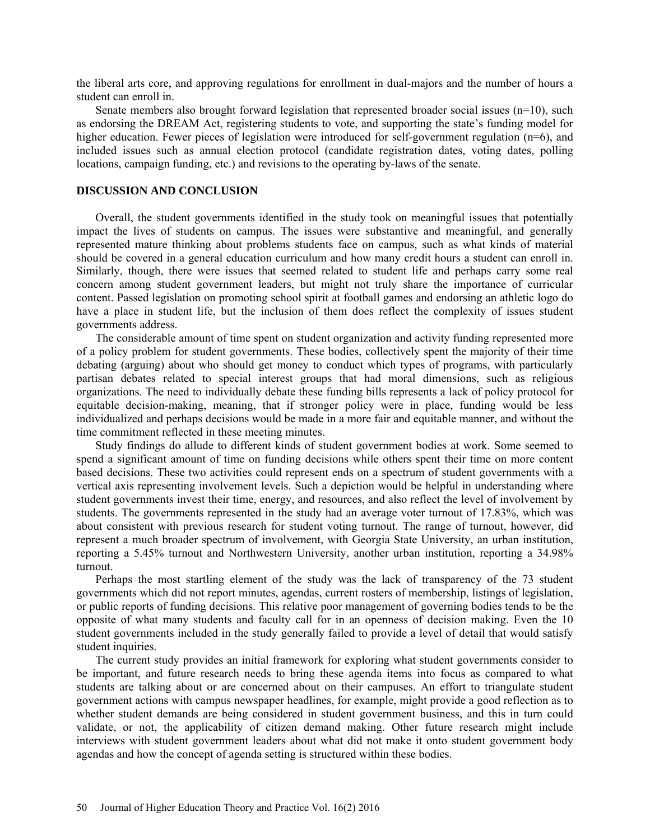the liberal arts core, and approving regulations for enrollment in dual-majors and the number of hours a student can enroll in.

Senate members also brought forward legislation that represented broader social issues (n=10), such as endorsing the DREAM Act, registering students to vote, and supporting the state's funding model for higher education. Fewer pieces of legislation were introduced for self-government regulation (n=6), and included issues such as annual election protocol (candidate registration dates, voting dates, polling locations, campaign funding, etc.) and revisions to the operating by-laws of the senate.

#### **DISCUSSION AND CONCLUSION**

Overall, the student governments identified in the study took on meaningful issues that potentially impact the lives of students on campus. The issues were substantive and meaningful, and generally represented mature thinking about problems students face on campus, such as what kinds of material should be covered in a general education curriculum and how many credit hours a student can enroll in. Similarly, though, there were issues that seemed related to student life and perhaps carry some real concern among student government leaders, but might not truly share the importance of curricular content. Passed legislation on promoting school spirit at football games and endorsing an athletic logo do have a place in student life, but the inclusion of them does reflect the complexity of issues student governments address.

The considerable amount of time spent on student organization and activity funding represented more of a policy problem for student governments. These bodies, collectively spent the majority of their time debating (arguing) about who should get money to conduct which types of programs, with particularly partisan debates related to special interest groups that had moral dimensions, such as religious organizations. The need to individually debate these funding bills represents a lack of policy protocol for equitable decision-making, meaning, that if stronger policy were in place, funding would be less individualized and perhaps decisions would be made in a more fair and equitable manner, and without the time commitment reflected in these meeting minutes.

Study findings do allude to different kinds of student government bodies at work. Some seemed to spend a significant amount of time on funding decisions while others spent their time on more content based decisions. These two activities could represent ends on a spectrum of student governments with a vertical axis representing involvement levels. Such a depiction would be helpful in understanding where student governments invest their time, energy, and resources, and also reflect the level of involvement by students. The governments represented in the study had an average voter turnout of 17.83%, which was about consistent with previous research for student voting turnout. The range of turnout, however, did represent a much broader spectrum of involvement, with Georgia State University, an urban institution, reporting a 5.45% turnout and Northwestern University, another urban institution, reporting a 34.98% turnout.

Perhaps the most startling element of the study was the lack of transparency of the 73 student governments which did not report minutes, agendas, current rosters of membership, listings of legislation, or public reports of funding decisions. This relative poor management of governing bodies tends to be the opposite of what many students and faculty call for in an openness of decision making. Even the 10 student governments included in the study generally failed to provide a level of detail that would satisfy student inquiries.

The current study provides an initial framework for exploring what student governments consider to be important, and future research needs to bring these agenda items into focus as compared to what students are talking about or are concerned about on their campuses. An effort to triangulate student government actions with campus newspaper headlines, for example, might provide a good reflection as to whether student demands are being considered in student government business, and this in turn could validate, or not, the applicability of citizen demand making. Other future research might include interviews with student government leaders about what did not make it onto student government body agendas and how the concept of agenda setting is structured within these bodies.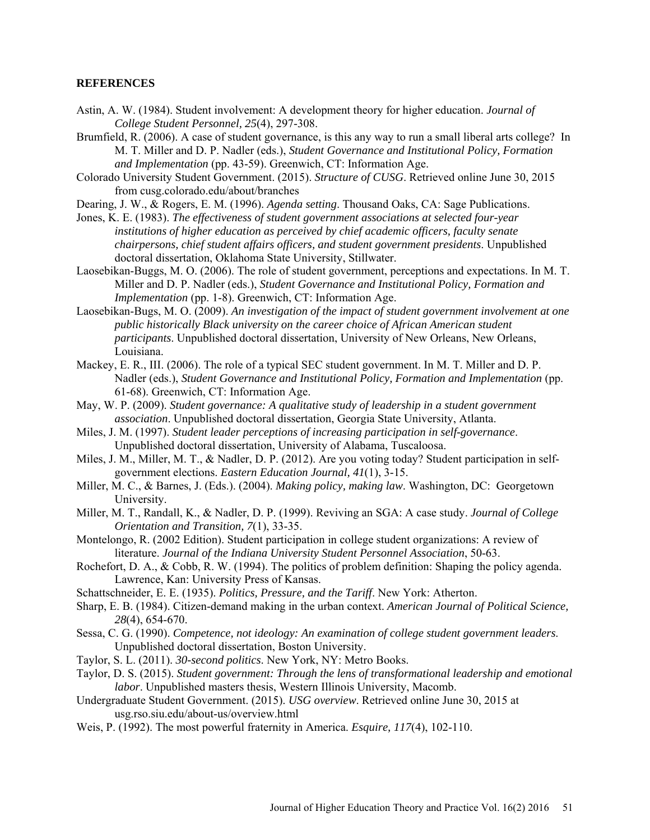# **REFERENCES**

- Astin, A. W. (1984). Student involvement: A development theory for higher education. *Journal of College Student Personnel, 25*(4), 297-308.
- Brumfield, R. (2006). A case of student governance, is this any way to run a small liberal arts college? In M. T. Miller and D. P. Nadler (eds.), *Student Governance and Institutional Policy, Formation and Implementation* (pp. 43-59). Greenwich, CT: Information Age.
- Colorado University Student Government. (2015). *Structure of CUSG*. Retrieved online June 30, 2015 from cusg.colorado.edu/about/branches
- Dearing, J. W., & Rogers, E. M. (1996). *Agenda setting*. Thousand Oaks, CA: Sage Publications.
- Jones, K. E. (1983). *The effectiveness of student government associations at selected four-year institutions of higher education as perceived by chief academic officers, faculty senate chairpersons, chief student affairs officers, and student government presidents*. Unpublished doctoral dissertation, Oklahoma State University, Stillwater.
- Laosebikan-Buggs, M. O. (2006). The role of student government, perceptions and expectations. In M. T. Miller and D. P. Nadler (eds.), *Student Governance and Institutional Policy, Formation and Implementation* (pp. 1-8). Greenwich, CT: Information Age.
- Laosebikan-Bugs, M. O. (2009). *An investigation of the impact of student government involvement at one public historically Black university on the career choice of African American student participants*. Unpublished doctoral dissertation, University of New Orleans, New Orleans, Louisiana.
- Mackey, E. R., III. (2006). The role of a typical SEC student government. In M. T. Miller and D. P. Nadler (eds.), *Student Governance and Institutional Policy, Formation and Implementation* (pp. 61-68). Greenwich, CT: Information Age.
- May, W. P. (2009). *Student governance: A qualitative study of leadership in a student government association*. Unpublished doctoral dissertation, Georgia State University, Atlanta.
- Miles, J. M. (1997). *Student leader perceptions of increasing participation in self-governance*. Unpublished doctoral dissertation, University of Alabama, Tuscaloosa.
- Miles, J. M., Miller, M. T., & Nadler, D. P. (2012). Are you voting today? Student participation in selfgovernment elections. *Eastern Education Journal, 41*(1), 3-15.
- Miller, M. C., & Barnes, J. (Eds.). (2004). *Making policy, making law*. Washington, DC: Georgetown University.
- Miller, M. T., Randall, K., & Nadler, D. P. (1999). Reviving an SGA: A case study. *Journal of College Orientation and Transition, 7*(1), 33-35.
- Montelongo, R. (2002 Edition). Student participation in college student organizations: A review of literature. *Journal of the Indiana University Student Personnel Association*, 50-63.
- Rochefort, D. A., & Cobb, R. W. (1994). The politics of problem definition: Shaping the policy agenda. Lawrence, Kan: University Press of Kansas.
- Schattschneider, E. E. (1935). *Politics, Pressure, and the Tariff*. New York: Atherton.
- Sharp, E. B. (1984). Citizen-demand making in the urban context. *American Journal of Political Science, 28*(4), 654-670.
- Sessa, C. G. (1990). *Competence, not ideology: An examination of college student government leaders*. Unpublished doctoral dissertation, Boston University.
- Taylor, S. L. (2011). *30-second politics*. New York, NY: Metro Books.
- Taylor, D. S. (2015). *Student government: Through the lens of transformational leadership and emotional labor*. Unpublished masters thesis, Western Illinois University, Macomb.
- Undergraduate Student Government. (2015). *USG overview*. Retrieved online June 30, 2015 at usg.rso.siu.edu/about-us/overview.html
- Weis, P. (1992). The most powerful fraternity in America. *Esquire, 117*(4), 102-110.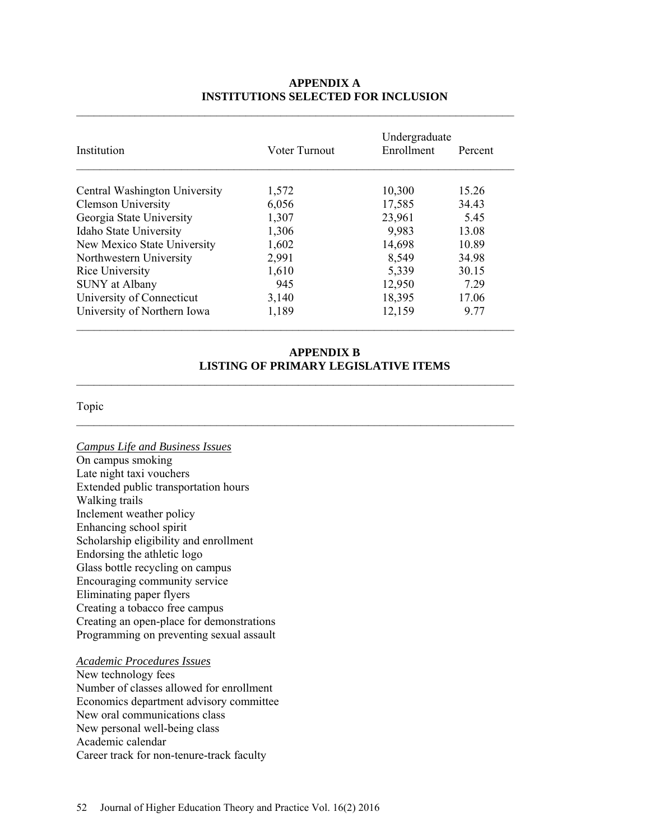| <b>APPENDIX A</b>                          |  |  |  |  |
|--------------------------------------------|--|--|--|--|
| <b>INSTITUTIONS SELECTED FOR INCLUSION</b> |  |  |  |  |

| Institution                   | Voter Turnout | Undergraduate<br>Enrollment | Percent |
|-------------------------------|---------------|-----------------------------|---------|
| Central Washington University | 1,572         | 10,300                      | 15.26   |
| <b>Clemson University</b>     | 6,056         | 17,585                      | 34.43   |
| Georgia State University      | 1,307         | 23,961                      | 5.45    |
| Idaho State University        | 1,306         | 9,983                       | 13.08   |
| New Mexico State University   | 1,602         | 14,698                      | 10.89   |
| Northwestern University       | 2,991         | 8,549                       | 34.98   |
| Rice University               | 1,610         | 5,339                       | 30.15   |
| <b>SUNY</b> at Albany         | 945           | 12,950                      | 7.29    |
| University of Connecticut     | 3,140         | 18,395                      | 17.06   |
| University of Northern Iowa   | 1,189         | 12,159                      | 9.77    |

 $\mathcal{L}_\text{max}$  and  $\mathcal{L}_\text{max}$  and  $\mathcal{L}_\text{max}$  and  $\mathcal{L}_\text{max}$  and  $\mathcal{L}_\text{max}$  and  $\mathcal{L}_\text{max}$ 

# **APPENDIX B LISTING OF PRIMARY LEGISLATIVE ITEMS**

\_\_\_\_\_\_\_\_\_\_\_\_\_\_\_\_\_\_\_\_\_\_\_\_\_\_\_\_\_\_\_\_\_\_\_\_\_\_\_\_\_\_\_\_\_\_\_\_\_\_\_\_\_\_\_\_\_\_\_\_\_\_\_\_\_\_\_\_\_\_\_\_\_\_\_

\_\_\_\_\_\_\_\_\_\_\_\_\_\_\_\_\_\_\_\_\_\_\_\_\_\_\_\_\_\_\_\_\_\_\_\_\_\_\_\_\_\_\_\_\_\_\_\_\_\_\_\_\_\_\_\_\_\_\_\_\_\_\_\_\_\_\_\_\_\_\_\_\_\_\_

# Topic

*Campus Life and Business Issues* On campus smoking Late night taxi vouchers Extended public transportation hours Walking trails Inclement weather policy Enhancing school spirit Scholarship eligibility and enrollment Endorsing the athletic logo Glass bottle recycling on campus Encouraging community service Eliminating paper flyers Creating a tobacco free campus Creating an open-place for demonstrations Programming on preventing sexual assault

# *Academic Procedures Issues*

New technology fees Number of classes allowed for enrollment Economics department advisory committee New oral communications class New personal well-being class Academic calendar Career track for non-tenure-track faculty